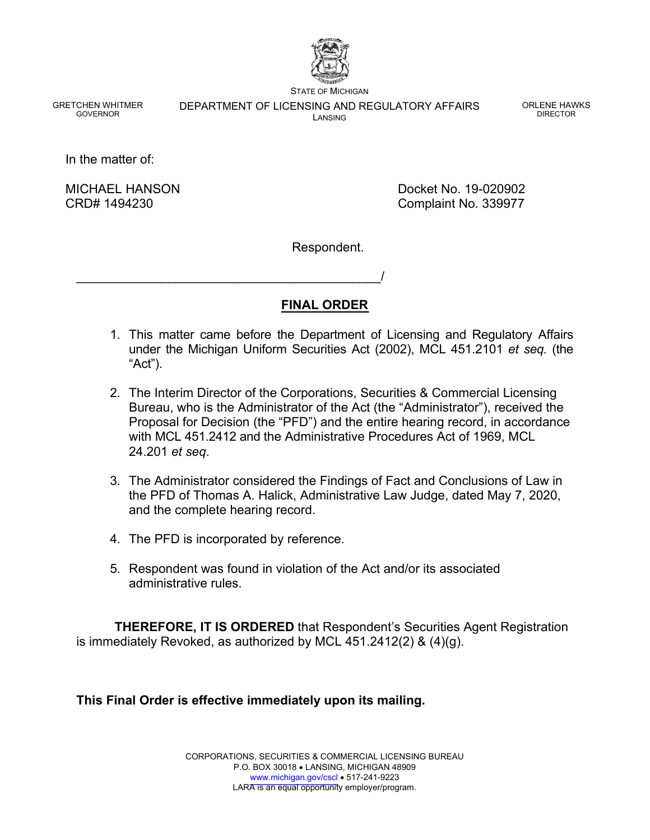

STATE OF MICHIGAN

GRETCHEN WHITMER GOVERNOR

DEPARTMENT OF LICENSING AND REGULATORY AFFAIRS LANSING

ORLENE HAWKS DIRECTOR

In the matter of:

MICHAEL HANSON CRD# 1494230

Docket No. 19-020902 Complaint No. 339977

Respondent.

# **FINAL ORDER**

- 1. This matter came before the Department of Licensing and Regulatory Affairs under the Michigan Uniform Securities Act (2002), MCL 451.2101 *et seq.* (the "Act").
- 2. The Interim Director of the Corporations, Securities & Commercial Licensing Bureau, who is the Administrator of the Act (the "Administrator"), received the Proposal for Decision (the "PFD") and the entire hearing record, in accordance with MCL 451.2412 and the Administrative Procedures Act of 1969, MCL 24.201 *et seq*.
- 3. The Administrator considered the Findings of Fact and Conclusions of Law in the PFD of Thomas A. Halick, Administrative Law Judge, dated May 7, 2020, and the complete hearing record.
- 4. The PFD is incorporated by reference.

\_\_\_\_\_\_\_\_\_\_\_\_\_\_\_\_\_\_\_\_\_\_\_\_\_\_\_\_\_\_\_\_\_\_\_\_\_\_\_\_\_\_\_/

5. Respondent was found in violation of the Act and/or its associated administrative rules.

**THEREFORE, IT IS ORDERED** that Respondent's Securities Agent Registration is immediately Revoked, as authorized by MCL 451.2412(2) & (4)(g).

**This Final Order is effective immediately upon its mailing.**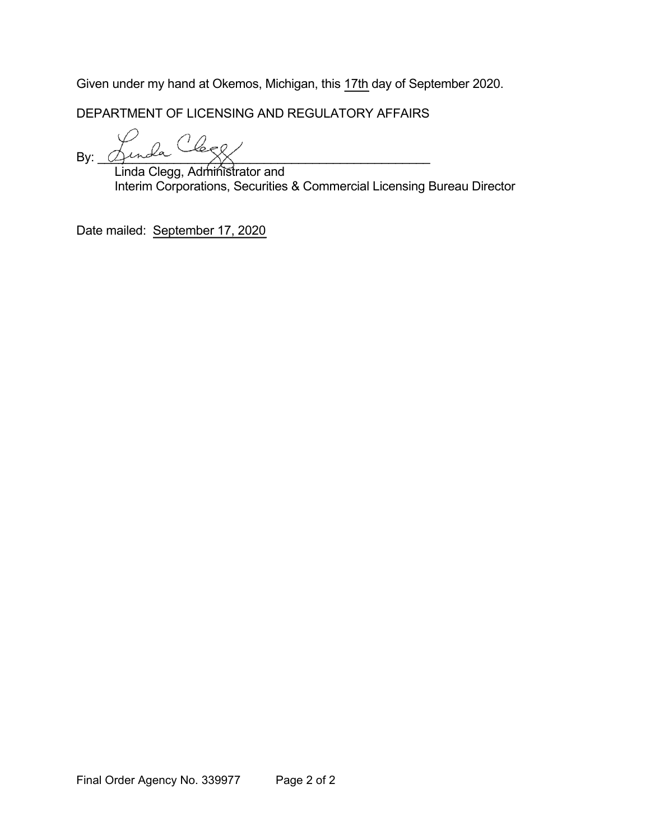Given under my hand at Okemos, Michigan, this 17th day of September 2020.

DEPARTMENT OF LICENSING AND REGULATORY AFFAIRS

By: \_\_\_\_\_\_\_\_\_\_\_\_\_\_\_\_\_\_\_\_\_\_\_\_\_\_\_\_\_\_\_\_\_\_\_\_\_\_\_\_\_\_\_\_\_\_\_\_

Linda Clegg, Administrator and Interim Corporations, Securities & Commercial Licensing Bureau Director

Date mailed: September 17, 2020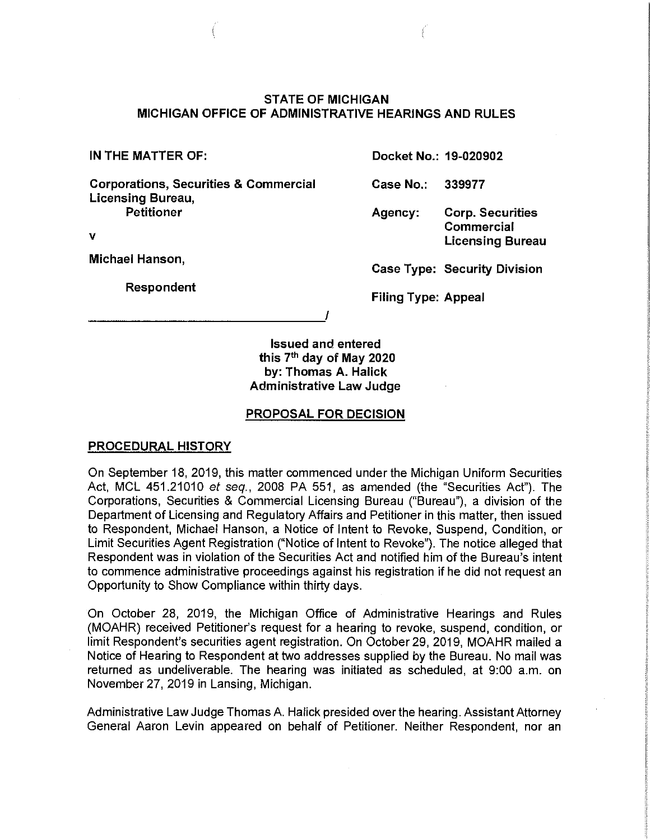# **STATE OF MICHIGAN MICHIGAN OFFICE OF ADMINISTRATIVE HEARINGS AND RULES**

**Corporations, Securities & Commercial Licensing Bureau,** 

---------------~'

**Petitioner** 

**V** 

**Michael Hanson,** 

**Respondent** 

**IN THE MATTER OF: Docket No.: 19-020902** 

**Case No.: 339977** 

**Agency: Corp. Securities Commercial Licensing Bureau** 

**Case Type: Security Division** 

**Filing Type: Appeal** 

**Issued and entered this 7th day of May 2020 by: Thomas A. Halick Administrative Law Judge** 

### **PROPOSAL FOR DECISION**

# **PROCEDURAL HISTORY**

On September 18, 2019, this matter commenced under the Michigan Uniform Securities Act, MCL 451.21010 et seq., 2008 PA 551, as amended (the "Securities Act"). The Corporations, Securities & Commercial Licensing Bureau ("Bureau"), a division of the Department of Licensing and Regulatory Affairs and Petitioner in this matter, then issued to Respondent, Michael Hanson, a Notice of Intent to Revoke, Suspend, Condition, or Limit Securities Agent Registration ("Notice of Intent to Revoke"). The notice alleged that Respondent was in violation of the Securities Act and notified him of the Bureau's intent to commence administrative proceedings against his registration if he did not request an Opportunity to Show Compliance within thirty days.

On October 28, 2019, the Michigan Office of Administrative Hearings and Rules (MOAHR) received Petitioner's request for a hearing to revoke, suspend, condition, or limit Respondent's securities agent registration. On October 29, 2019, MOAHR mailed a Notice of Hearing to Respondent at two addresses supplied by the Bureau. No mail was returned as undeliverable. The hearing was initiated as scheduled, at 9:00 a.m. on November 27, 2019 in Lansing, Michigan.

Administrative Law Judge Thomas A. Halick presided over the hearing. Assistant Attorney General Aaron Levin appeared on behalf of Petitioner. Neither Respondent, nor an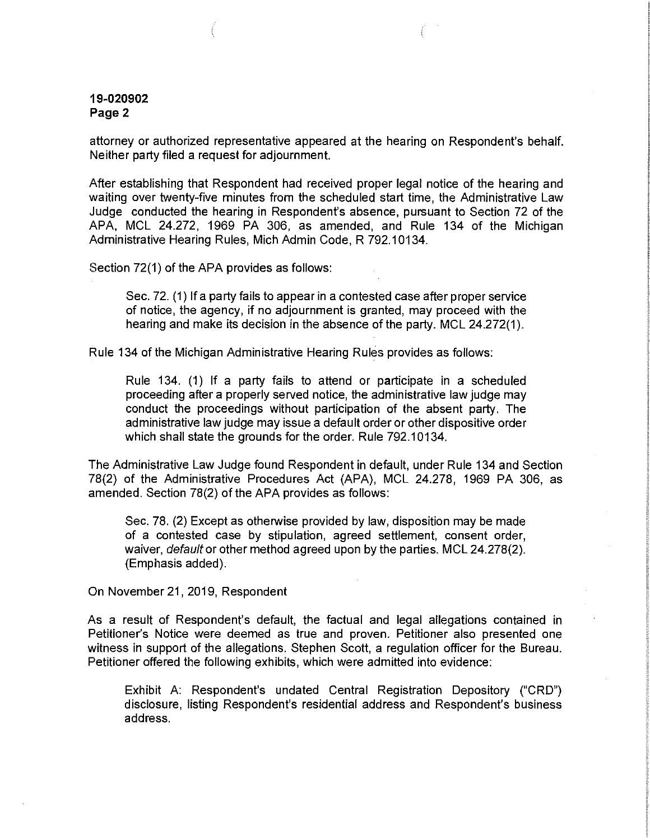attorney or authorized representative appeared at the hearing on Respondent's behalf. Neither party filed a request for adjournment.

After establishing that Respondent had received proper legal notice of the hearing and waiting over twenty-five minutes from the scheduled start time, the Administrative Law Judge conducted the hearing in Respondent's absence, pursuant to Section 72 of the APA, MCL 24.272, 1969 PA 306, as amended, and Rule 134 of the Michigan Administrative Hearing Rules, Mich Admin Code, R 792.10134.

Section 72(1) of the APA provides as follows:

Sec. 72. (1) If a party fails to appear in a contested case after proper service of notice, the agency, if no adjournment is granted, may proceed with the hearing and make its decision in the absence of the party. MCL 24.272(1).

Rule 134 of the Michigan Administrative Hearing Rules provides as follows:

Rule 134. (1) If a party fails to attend or participate in a scheduled proceeding after a properly served notice, the administrative law judge may conduct the proceedings without participation of the absent party. The administrative law judge may issue a default order or other dispositive order which shall state the grounds for the order. Rule 792.10134.

The Administrative Law Judge found Respondent in default, under Rule 134 and Section 78(2) of the Administrative Procedures Act (APA), MCL 24.278, 1969 PA 306, as amended. Section 78(2) of the APA provides as follows:

Sec. 78. (2) Except as otherwise provided by law, disposition may be made of a contested case by stipulation, agreed settlement, consent order, waiver, default or other method agreed upon by the parties. MCL 24.278(2). (Emphasis added).

On November 21, 2019, Respondent

As a result of Respondent's default, the factual and legal allegations contained in Petitioner's Notice were deemed as true and proven. Petitioner also presented one witness in support of the allegations. Stephen Scott, a regulation officer for the Bureau. Petitioner offered the following exhibits, which were admitted into evidence:

Exhibit A: Respondent's undated Central Registration Depository ("CRD") disclosure, listing Respondent's residential address and Respondent's business address.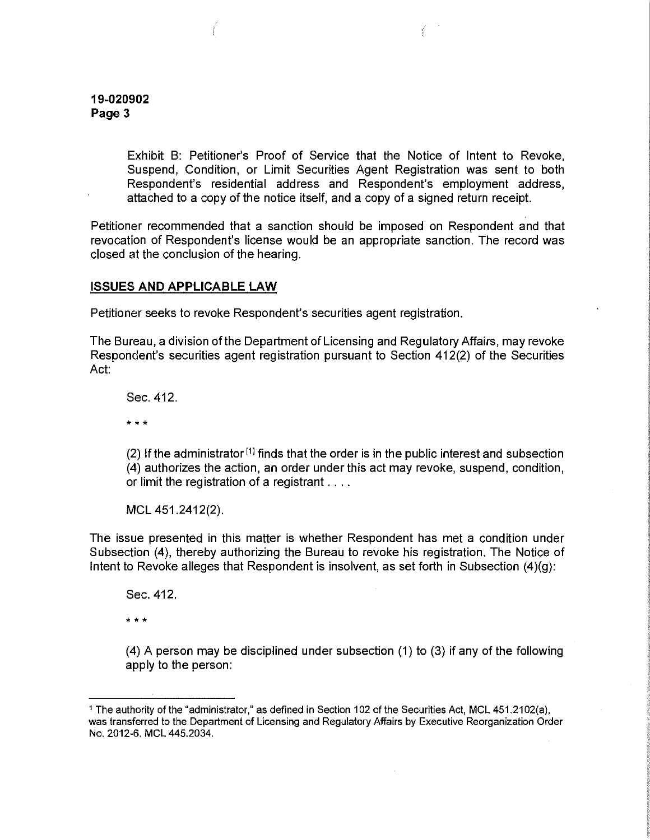Exhibit B: Petitioner's Proof of Service that the Notice of Intent to Revoke, Suspend, Condition, or Limit Securities Agent Registration was sent to both Respondent's residential address and Respondent's employment address, attached to a copy of the notice itself, and a copy of a signed return receipt.

Petitioner recommended that a sanction should be imposed on Respondent and that revocation of Respondent's license would be an appropriate sanction. The record was closed at the conclusion of the hearing.

#### **ISSUES AND APPLICABLE LAW**

Petitioner seeks to revoke Respondent's securities agent registration.

The Bureau, a division of the Department of licensing and Regulatory Affairs, may revoke Respondent's securities agent registration pursuant to Section 412(2) of the Securities Act:

Sec. 412.

• • •

(2) If the administrator<sup>[1]</sup> finds that the order is in the public interest and subsection (4) authorizes the action, an order under this act may revoke, suspend, condition, or limit the registration of a registrant ....

MCL 451.2412(2).

The issue presented in this matter is whether Respondent has met a condition under Subsection (4), thereby authorizing the Bureau to revoke his registration. The Notice of Intent to Revoke alleges that Respondent is insolvent, as set forth in Subsection  $(4)(g)$ :

Sec. 412.

• • \*

(4) A person may be disciplined under subsection (1) to (3) if any of the following apply to the person:

<sup>1</sup> The authority of the "administrator," as defined in Section 102 of the Securities Act, MCL 451.2102(a}, was transferred to the Department of Licensing and Regulatory Affairs by Executive Reorganization Order No. 2012-6. MCL 445.2034.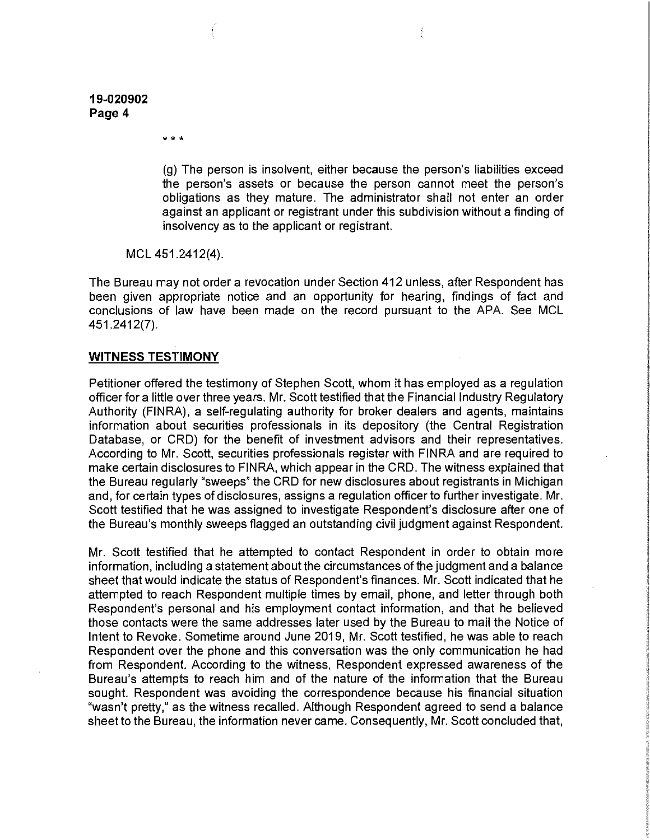\* \* \*

(g) The person is insolvent, either because the person's liabilities exceed the person's assets or because the person cannot meet the person's obligations as they mature. The administrator shall not enter an order against an applicant or registrant under this subdivision without a finding of insolvency as to the applicant or registrant.

MCL 451.2412(4).

The Bureau may not order a revocation under Section 412 unless, after Respondent has been given appropriate notice and an opportunity for hearing, findings of fact and conclusions of law have been made on the record pursuant to the APA. See MCL 451.2412(7).

#### **WITNESS TESTIMONY**

Petitioner offered the testimony of Stephen Scott, whom it has employed as a regulation officer for a little over three years. Mr. Scott testified that the Financial Industry Regulatory Authority (FINRA), a self-regulating authority for broker dealers and agents, maintains information about securities professionals in its depository (the Central Registration Database, or CRD) for the benefit of investment advisors and their representatives. According to Mr. Scott, securities professionals register with FINRA and are required to make certain disclosures to FINRA, which appear in the CRD. The witness explained that the Bureau regularly "sweeps" the CRD for new disclosures about registrants in Michigan and, for certain types of disclosures, assigns a regulation officer to further investigate. Mr. Scott testified that he was assigned to investigate Respondent's disclosure after one of the Bureau's monthly sweeps flagged an outstanding civil judgment against Respondent.

Mr. Scott testified that he attempted to contact Respondent in order to obtain more information, including a statement about the circumstances of the judgment and a balance sheet that would indicate the status of Respondent's finances. Mr. Scott indicated that he attempted to reach Respondent multiple times by email, phone, and letter through both Respondent's personal and his employment contact information, and that he believed those contacts were the same addresses later used by the Bureau to mail the Notice of Intent to Revoke. Sometime around June 2019, Mr. Scott testified, he was able to reach Respondent over the phone and this conversation was the only communication he had from Respondent. According to the witness, Respondent expressed awareness of the Bureau's attempts to reach him and of the nature of the information that the Bureau sought. Respondent was avoiding the correspondence because his financial situation "wasn't pretty," as the witness recalled. Although Respondent agreed to send a balance sheet to the Bureau, the information never came. Consequently, Mr. Scott concluded that,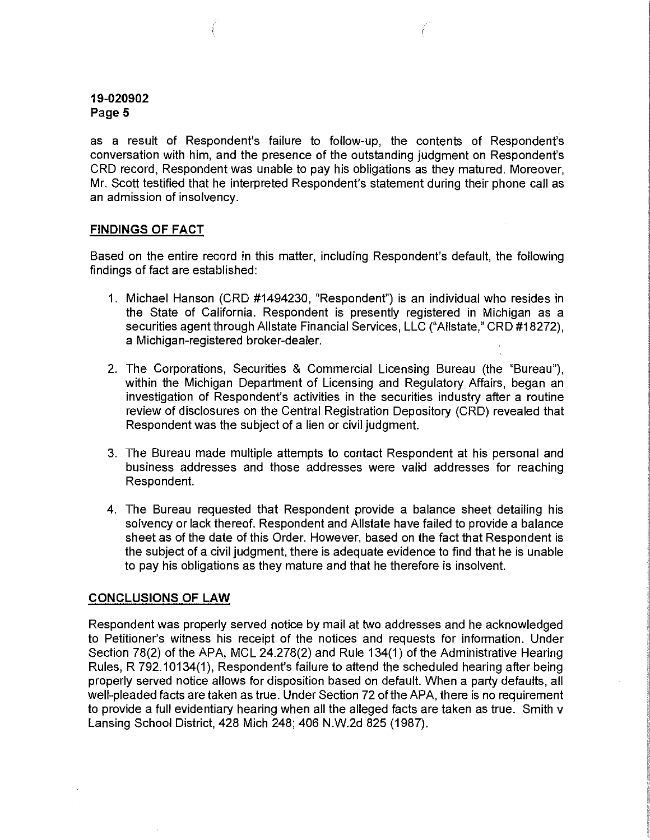as a result of Respondent's failure to follow-up, the contents of Respondent's conversation with him, and the presence of the outstanding judgment on Respondent's CRD record, Respondent was unable to pay his obligations as they matured. Moreover, Mr. Scott testified that he interpreted Respondent's statement during their phone call as an admission of insolvency.

### **FINDINGS OF FACT**

Based on the entire record in this matter, including Respondent's default, the following findings of fact are established:

- 1. Michael Hanson (CRD #1494230, "Respondent") is an individual who resides in the State of California. Respondent is presently registered in Michigan as a securities agent through Allstate Financial Services, LLC ("Allstate," CRD #18272), a Michigan-registered broker-dealer.
- 2. The Corporations, Securities & Commercial Licensing Bureau (the "Bureau"), within the Michigan Department of Licensing and Regulatory Affairs, began an investigation of Respondent's activities in the securities industry after a routine review of disclosures on the Central Registration Depository (CRD) revealed that Respondent was the subject of a lien or civil judgment.
- 3. The Bureau made multiple attempts to contact Respondent at his personal and business addresses and those addresses were valid addresses for reaching Respondent.
- 4. The Bureau requested that Respondent provide a balance sheet detailing his solvency or lack thereof. Respondent and Allstate have failed to provide a balance sheet as of the date of this Order. However, based on the fact that Respondent is the subject of a civil judgment, there is adequate evidence to find that he is unable to pay his obligations as they mature and that he therefore is insolvent.

# **CONCLUSIONS OF LAW**

Respondent was properly served notice by mail at two addresses and he acknowledged to Petitioner's witness his receipt of the notices and requests for information. Under Section 78(2) of the APA, MCL 24.278(2) and Rule 134(1) of the Administrative Hearing Rules, R 792.10134(1), Respondent's failure to attend the scheduled hearing after being properly served notice allows for disposition based on default. When a party defaults, all well-pleaded facts are taken as true. Under Section 72 of the APA, there is no requirement to provide a full evidentiary hearing when all the alleged facts are taken as true. Smith v Lansing School District, 428 Mich 248; 406 N.W.2d 825 (1987).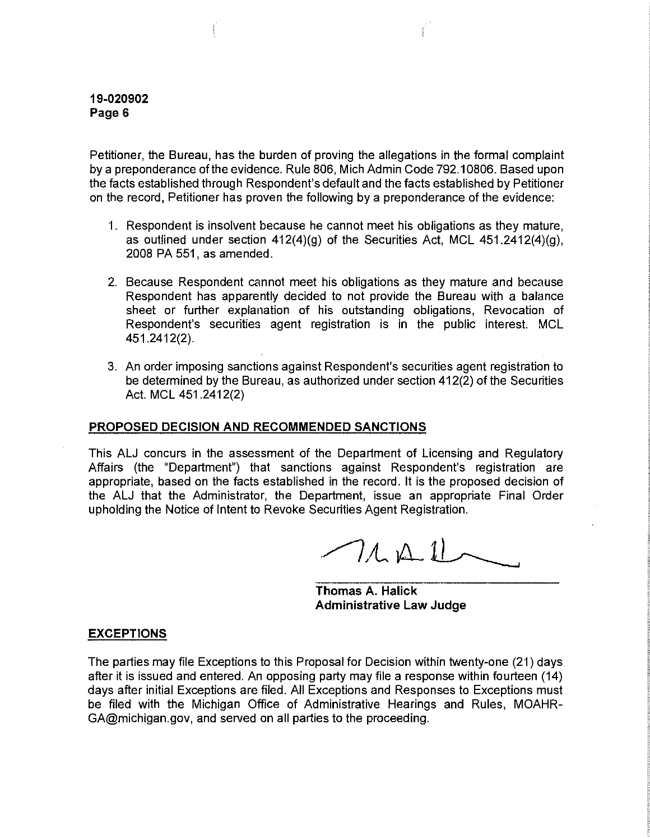Petitioner, the Bureau, has the burden of proving the allegations in the formal complaint by a preponderance of the evidence. Rule 806, Mich Admin Code 792.10806. Based upon the facts established through Respondent's default and the facts established by Petitioner on the record, Petitioner has proven the following by a preponderance of the evidence:

- 1. Respondent is insolvent because he cannot meet his obligations as they mature, as outlined under section  $412(4)(g)$  of the Securities Act, MCL  $451.2412(4)(g)$ , 2008 PA 551, as amended.
- 2. Because Respondent cannot meet his obligations as they mature and because Respondent has apparently decided to not provide the Bureau with a balance sheet or further explanation of his outstanding obligations, Revocation of Respondent's securities agent registration is in the public interest. MCL 451.2412(2).
- 3. An order imposing sanctions against Respondent's securities agent registration to be determined by the Bureau, as authorized under section 412(2) of the Securities Act. MCL 451.2412(2)

### **PROPOSED DECISION AND RECOMMENDED SANCTIONS**

This ALJ concurs in the assessment of the Department of Licensing and Regulatory Affairs (the "Department") that sanctions against Respondent's registration are appropriate, based on the facts established in the record. It is the proposed decision of the ALJ that the Administrator, the Department, issue an appropriate Final Order upholding the Notice of Intent to Revoke Securities Agent Registration.

 $7141$ 

**Thomas A. Halick Administrative Law Judge** 

#### **EXCEPTIONS**

The parties may file Exceptions to this Proposal for Decision within twenty-one (21) days after it is issued and entered. An opposing party may file a response within fourteen (14) days after initial Exceptions are filed. All Exceptions and Responses to Exceptions must be filed with the Michigan Office of Administrative Hearings and Rules, MOAHR-GA@michigan.gov, and served on all parties to the proceeding.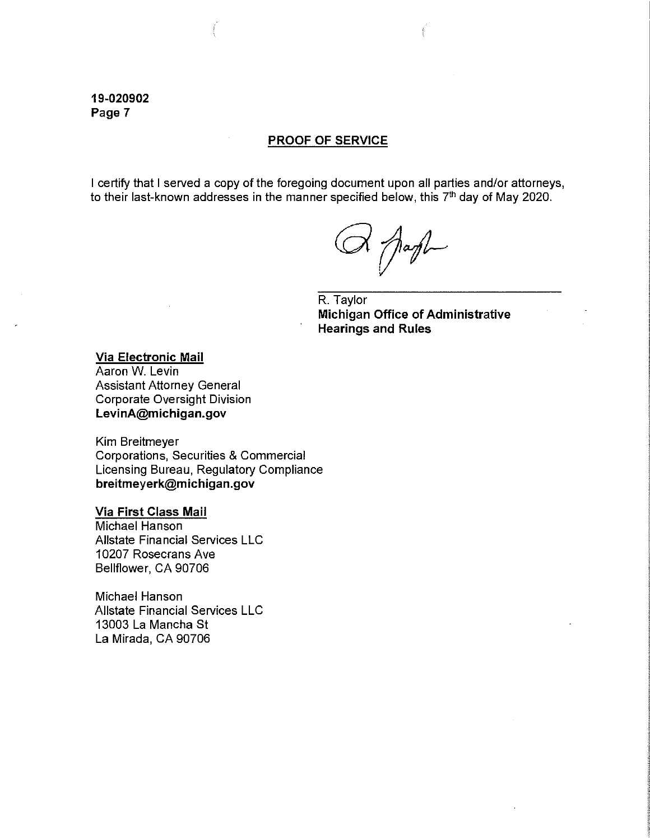#### **PROOF OF SERVICE**

I certify that I served a copy of the foregoing document upon all parties and/or attorneys, to their last-known addresses in the manner specified below, this 7<sup>th</sup> day of May 2020.

 $X \bigwedge \text{aff} \rightarrow$ 

R. Taylor **Michigan Office of Administrative Hearings and Rules** 

**Via Electronic Mail**  Aaron W. Levin Assistant Attorney General Corporate Oversight Division **LevinA@michigan.gov** 

Kim Breitmeyer Corporations, Securities & Commercial Licensing Bureau, Regulatory Compliance **breitmeyerk@michigan.gov** 

#### **Via First Class Mail**

Michael Hanson Allstate Financial Services LLC 10207 Rosecrans Ave Bellflower, CA 90706

Michael Hanson Allstate Financial Services LLC 13003 La Mancha St La Mirada, CA 90706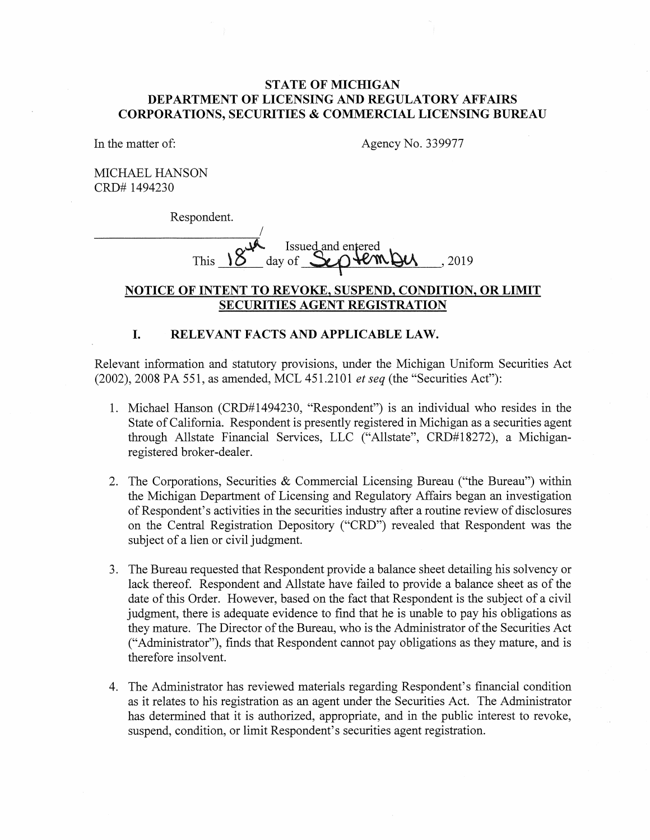# **STATE OF MICHIGAN DEPARTMENT OF LICENSING AND REGULATORY AFFAIRS CORPORATIONS, SECURITIES & COMMERCIAL LICENSING BUREAU**

In the matter of:

Agency No. 339977

MICHAEL HANSON CRD# 1494230

Respondent.

Respondent. This  $\overline{\begin{array}{c} \mathcal{S} \rightarrow \mathbb{R} \\ \mathcal{S} \end{array}}$  lssued and entered<br>This  $\overline{\begin{array}{c} \mathcal{S} \rightarrow \mathbb{R} \\ \mathcal{S} \end{array}}$  (2019)

# **NOTICE OF INTENT TO REVOKE, SUSPEND, CONDITION, OR LIMIT SECURITIES AGENT REGISTRATION**

#### **I. RELEVANT FACTS AND APPLICABLE LAW.**

Relevant information and statutory provisions, under the Michigan Uniform Securities Act (2002), 2008 PA 551, as amended, MCL 451.2101 *et seq* (the "Securities Act"):

- 1. Michael Hanson (CRD#1494230, "Respondent") is an individual who resides in the State of California. Respondent is presently registered in Michigan as a securities agent through Allstate Financial Services, LLC ("Allstate", CRD#l8272), a Michiganregistered broker-dealer.
- 2. The Corporations, Securities & Commercial Licensing Bureau ("the Bureau") within the Michigan Department of Licensing and Regulatory Affairs began an investigation of Respondent's activities in the securities industry after a routine review of disclosures on the Central Registration Depository ("CRD") revealed that Respondent was the subject of a lien or civil judgment.
- 3. The Bureau requested that Respondent provide a balance sheet detailing his solvency or lack thereof. Respondent and Allstate have failed to provide a balance sheet as of the date of this Order. However, based on the fact that Respondent is the subject of a civil judgment, there is adequate evidence to find that he is unable to pay his obligations as they mature. The Director of the Bureau, who is the Administrator of the Securities Act ("Administrator"), finds that Respondent cannot pay obligations as they mature, and is therefore insolvent.
- 4. The Administrator has reviewed materials regarding Respondent's financial condition as it relates to his registration as an agent under the Securities Act. The Administrator has determined that it is authorized, appropriate, and in the public interest to revoke, suspend, condition, or limit Respondent's securities agent registration.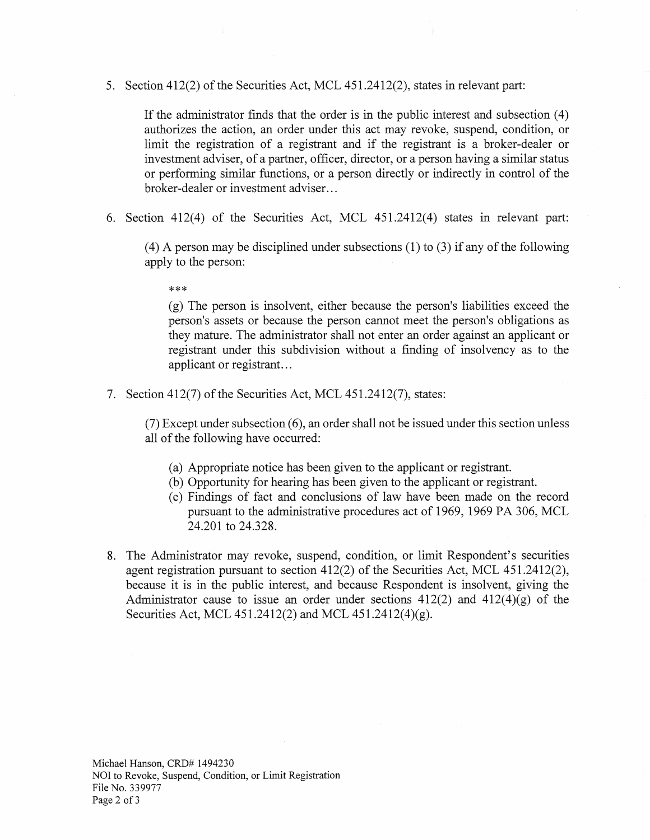5. Section 412(2) of the Securities Act, MCL 451.2412(2), states in relevant part:

If the administrator finds that the order is in the public interest and subsection  $(4)$ authorizes the action, an order under this act may revoke, suspend, condition, or limit the registration of a registrant and if the registrant is a broker-dealer or investment adviser, of a partner, officer, director, or a person having a similar status or performing similar functions, or a person directly or indirectly in control of the broker-dealer or investment adviser...

6. Section 412(4) of the Securities Act, MCL 451.2412(4) states in relevant part:

(4) A person may be disciplined under subsections (1) to (3) if any of the following apply to the person:

\*\*\*

(g) The person is insolvent, either because the person's liabilities exceed the person's assets or because the person cannot meet the person's obligations as they mature. The administrator shall not enter an order against an applicant or registrant under this subdivision without a finding of insolvency as to the applicant or registrant...

7. Section 412(7) of the Securities Act, MCL 451.2412(7), states:

(7) Except under subsection (6), an order shall not be issued under this section unless all of the following have occurred:

- (a) Appropriate notice has been given to the applicant or registrant.
- (b) Opportunity for hearing has been given to the applicant or registrant.
- ( c) Findings of fact and conclusions of law have been made on the record pursuant to the administrative procedures act of 1969, 1969 PA 306, MCL 24.201 to 24.328.
- 8. The Administrator may revoke, suspend, condition, or limit Respondent's securities agent registration pursuant to section 412(2) of the Securities Act, MCL 451.2412(2), because it is in the public interest, and because Respondent is insolvent, giving the Administrator cause to issue an order under sections  $412(2)$  and  $412(4)(g)$  of the Securities Act, MCL 451.2412(2) and MCL 451.2412(4)(g).